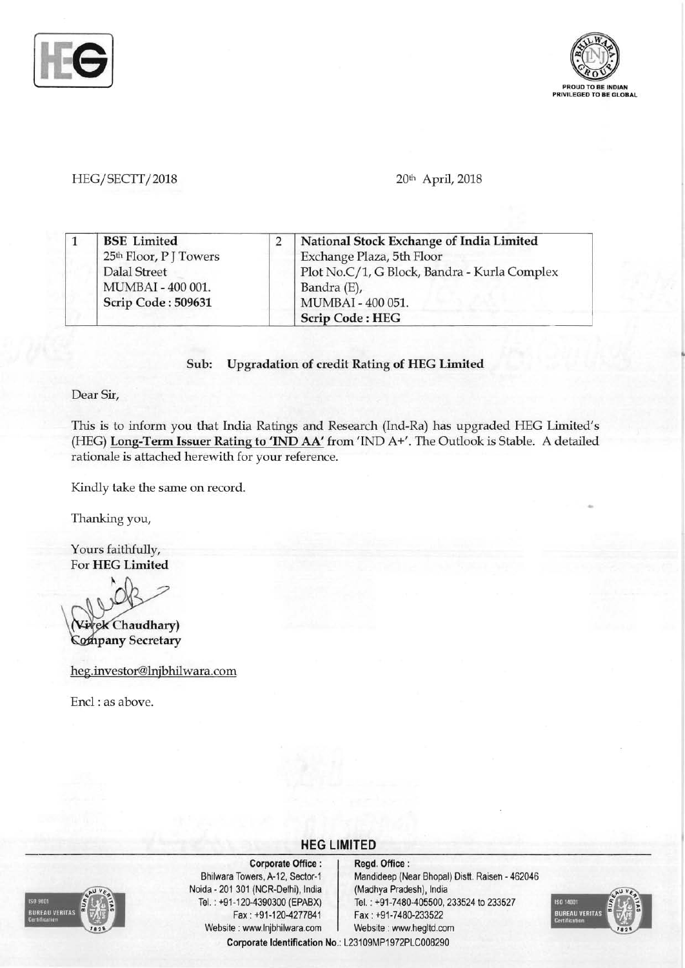



#### HEG/SECTT/2018 **20th April, 2018**

|  | <b>BSE</b> Limited                 | National Stock Exchange of India Limited     |
|--|------------------------------------|----------------------------------------------|
|  | 25 <sup>th</sup> Floor, P J Towers | Exchange Plaza, 5th Floor                    |
|  | Dalal Street                       | Plot No.C/1, G Block, Bandra - Kurla Complex |
|  | MUMBAI - 400 001.                  | Bandra (E),                                  |
|  | Scrip Code: 509631                 | MUMBAI - 400 051.                            |
|  |                                    | <b>Scrip Code: HEG</b>                       |

#### **Sub:** Upgradation **of credit Rating of HEG Limited**

Dear Sir,

This is to inform you that India Ratings and Research (Ind-Ra) has upgraded HEG Limited's (HEG) **Long-Term Issuer Rating to 'IND AA'** from 'IND A+'. The Outlook is Stable. A detailed rationale is attached herewith for your reference.

**HEG LIMITED** 

Kindly take the same on record.

Thanking you,

Yours faithfully, For **HEG Limited** 

~

vek Chaudhary) **Company Secretary** 

heg.investor@lnjbhilwara.com

Encl: as above.



Corporate Office : | Regd. Office : Noida 201 301 (NCR-Delhi), India (Madhya Pradesh), India Fax: +91-120-4277841 Fax: +91-7480-233522 Website: www.lnjbhilwara.com | Website: www.hegltd.com

Bhilwara Towers, A-12, Sector-1 Mandideep (Near Bhopal) Distt. Raisen - 462046 Tel. : +91-120-4390300 (EPABX) Tel. : +91-7480-405500, 233524 to 233527 **Corporate Identification** No.: L23109MP1972PLC008290

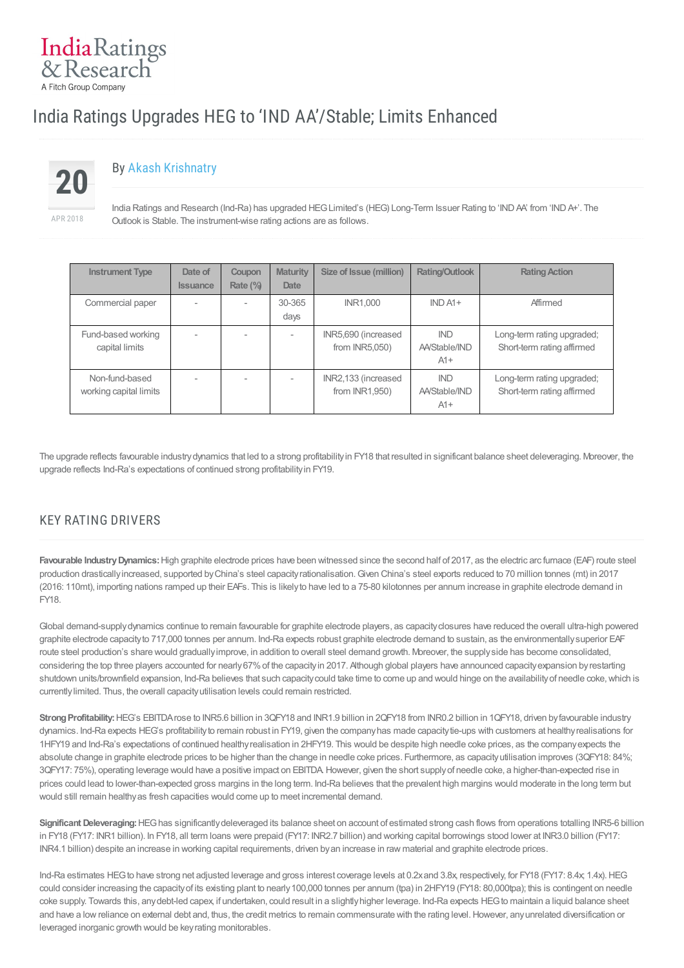# India Ratings Upgrades HEG to 'IND AA'/Stable; Limits Enhanced



IndiaRatings & Research A Fitch Group Company

# By Akash [Krishnatry](/admin/Analyst/Index?analystID=52&analystName=Akash Krishnatry)

India Ratings and Research (Ind-Ra) has upgraded HEG Limited's (HEG) Long-Term Issuer Rating to 'IND AA' from 'IND A+'. The Outlook is Stable. The instrument-wise rating actions are as follows.

| <b>Instrument Type</b>                   | Date of<br><b>Issuance</b> | Coupon<br>Rate (%) | <b>Maturity</b><br>Date | Size of Issue (million)                  | <b>Rating/Outlook</b>                | <b>Rating Action</b>                                     |
|------------------------------------------|----------------------------|--------------------|-------------------------|------------------------------------------|--------------------------------------|----------------------------------------------------------|
| Commercial paper                         |                            |                    | 30-365<br>days          | <b>INR1.000</b>                          | $INDA1+$                             | Affirmed                                                 |
| Fund-based working<br>capital limits     | $\overline{\phantom{a}}$   |                    | $\sim$                  | INR5,690 (increased<br>from $INR5,050$ ) | <b>IND</b><br>AA/Stable/IND<br>$A1+$ | Long-term rating upgraded;<br>Short-term rating affirmed |
| Non-fund-based<br>working capital limits |                            |                    |                         | INR2,133 (increased<br>from INR1,950)    | <b>IND</b><br>AA/Stable/IND<br>$A1+$ | Long-term rating upgraded;<br>Short-term rating affirmed |

The upgrade reflects favourable industrydynamics that led to a strong profitabilityin FY18 that resulted in significant balance sheet deleveraging. Moreover, the upgrade reflects Ind-Ra's expectations of continued strong profitabilityin FY19.

## KEY RATING DRIVERS

**Favourable IndustryDynamics:**High graphite electrode prices have been witnessed since the second half of 2017, as the electric arc furnace (EAF) route steel production drasticallyincreased, supported byChina's steel capacityrationalisation.Given China's steel exports reduced to 70 million tonnes (mt) in 2017 (2016: 110mt), importing nations ramped up their EAFs. This is likelyto have led to a 75-80 kilotonnes per annum increase in graphite electrode demand in FY18.

Global demand-supply dynamics continue to remain favourable for graphite electrode players, as capacity closures have reduced the overall ultra-high powered graphite electrode capacityto 717,000 tonnes per annum. Ind-Ra expects robust graphite electrode demand to sustain, as the environmentallysuperior EAF route steel production's share would graduallyimprove, in addition to overall steel demand growth. Moreover, the supplyside has become consolidated, considering the top three players accounted for nearly67%of the capacityin 2017. Although global players have announced capacityexpansion byrestarting shutdown units/brownfield expansion, Ind-Ra believes that such capacity could take time to come up and would hinge on the availability of needle coke, which is currentlylimited. Thus, the overall capacityutilisation levels could remain restricted.

**StrongProfitability:**HEG's EBITDArose to INR5.6 billion in 3QFY18 and INR1.9 billion in 2QFY18 from INR0.2 billion in 1QFY18, driven byfavourable industry dynamics. Ind-Ra expects HEG's profitabilityto remain robust in FY19, given the companyhas made capacitytie-ups with customers at healthyrealisations for 1HFY19 and Ind-Ra's expectations of continued healthyrealisation in 2HFY19. This would be despite high needle coke prices, as the companyexpects the absolute change in graphite electrode prices to be higher than the change in needle coke prices. Furthermore, as capacityutilisation improves (3QFY18: 84%; 3QFY17: 75%), operating leverage would have a positive impact on EBITDA.However, given the short supplyof needle coke, a higher-than-expected rise in prices could lead to lower-than-expected gross margins in the long term. Ind-Ra believes that the prevalent high margins would moderate in the long term but would still remain healthyas fresh capacities would come up to meet incremental demand.

**Significant Deleveraging:**HEGhas significantlydeleveraged its balance sheet on account of estimated strong cash flows from operations totalling INR5-6 billion in FY18 (FY17: INR1 billion). In FY18, all term loans were prepaid (FY17: INR2.7 billion) and working capital borrowings stood lower at INR3.0 billion (FY17: INR4.1 billion) despite an increase in working capital requirements, driven byan increase in raw material and graphite electrode prices.

Ind-Ra estimates HEG to have strong net adjusted leverage and gross interest coverage levels at 0.2x and 3.8x, respectively, for FY18 (FY17: 8.4x, 1.4x). HEG could consider increasing the capacityof its existing plant to nearly100,000 tonnes per annum (tpa) in 2HFY19 (FY18: 80,000tpa); this is contingent on needle coke supply. Towards this, anydebt-led capex, if undertaken, could result in a slightlyhigher leverage. Ind-Ra expects HEGto maintain a liquid balance sheet and have a low reliance on external debt and, thus, the credit metrics to remain commensurate with the rating level. However, any unrelated diversification or leveraged inorganic growth would be keyrating monitorables.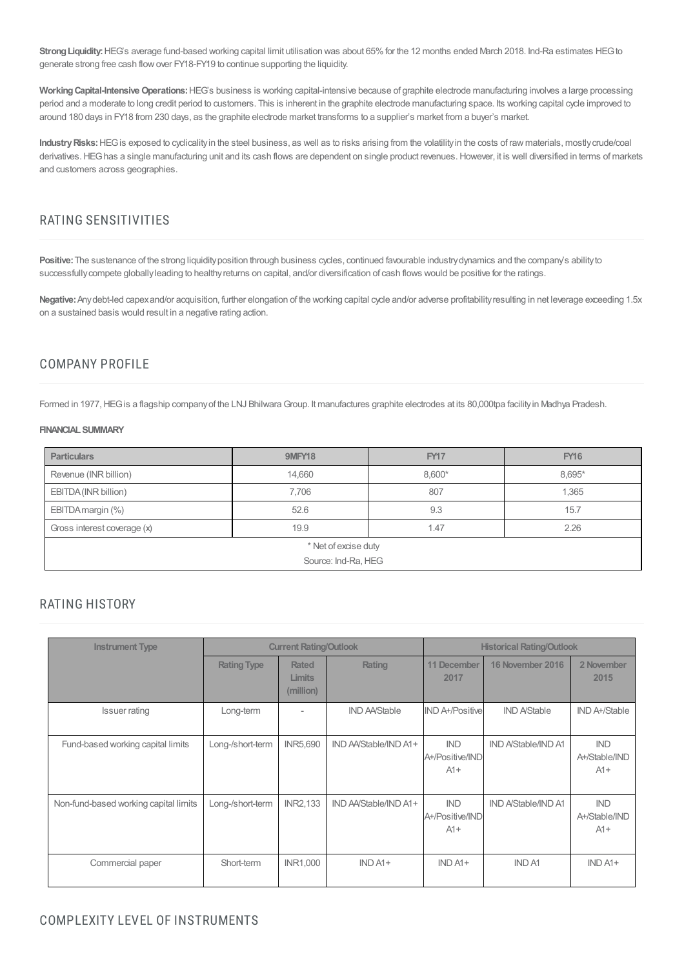Strong Liquidity: HEG's average fund-based working capital limit utilisation was about 65% for the 12 months ended March 2018. Ind-Ra estimates HEG to generate strong free cash flow over FY18-FY19 to continue supporting the liquidity.

Working Capital-Intensive Operations: HEG's business is working capital-intensive because of graphite electrode manufacturing involves a large processing period and a moderate to long credit period to customers. This is inherent in the graphite electrode manufacturing space. Its working capital cycle improved to around 180 days in FY18 from 230 days, as the graphite electrode market transforms to a supplier's market from a buyer's market.

Industry Risks: HEG is exposed to cyclicality in the steel business, as well as to risks arising from the volatility in the costs of raw materials, mostly crude/coal derivatives. HEG has a single manufacturing unit and its cash flows are dependent on single product revenues. However, it is well diversified in terms of markets and customers across geographies.

#### RATING SENSITIVITIES

Positive: The sustenance of the strong liquidity position through business cycles, continued favourable industry dynamics and the company's ability to successfully compete globally leading to healthy returns on capital, and/or diversification of cash flows would be positive for the ratings.

**Negative:**Anydebt-led capexand/or acquisition, further elongation of the working capital cycle and/or adverse profitabilityresulting in net leverage exceeding 1.5x on a sustained basis would result in a negative rating action.

## COMPANY PROFILE

Formed in 1977, HEG is a flagship company of the LNJ Bhilwara Group. It manufactures graphite electrodes at its 80,000tpa facility in Madhya Pradesh.

#### **FINANCIALSUMMARY**

| <b>Particulars</b>          | <b>9MFY18</b> | <b>FY17</b> | <b>FY16</b> |  |  |  |  |
|-----------------------------|---------------|-------------|-------------|--|--|--|--|
| Revenue (INR billion)       | 14,660        | 8,600*      | 8,695*      |  |  |  |  |
| EBITDA (INR billion)        | 7,706         | 807         | 1,365       |  |  |  |  |
| EBITDA margin (%)           | 52.6          | 9.3         | 15.7        |  |  |  |  |
| Gross interest coverage (x) | 19.9          | 1.47        | 2.26        |  |  |  |  |
| * Net of excise duty        |               |             |             |  |  |  |  |
| Source: Ind-Ra, HEG         |               |             |             |  |  |  |  |

#### RATING HISTORY

| <b>Instrument Type</b>                |                    | <b>Current Rating/Outlook</b>              |                       | <b>Historical Rating/Outlook</b>       |                            |                                      |  |
|---------------------------------------|--------------------|--------------------------------------------|-----------------------|----------------------------------------|----------------------------|--------------------------------------|--|
|                                       | <b>Rating Type</b> | <b>Rated</b><br><b>Limits</b><br>(million) | Rating                | <b>11 December</b><br>2017             | 16 November 2016           | 2 November<br>2015                   |  |
| <b>Issuer rating</b>                  | Long-term          | $\qquad \qquad \blacksquare$               | <b>IND AA/Stable</b>  | <b>IND A+/Positive</b>                 | <b>IND A/Stable</b>        | IND A+/Stable                        |  |
| Fund-based working capital limits     | Long-/short-term   | <b>INR5,690</b>                            | IND AA/Stable/IND A1+ | <b>IND</b><br>A+/Positive/IND<br>$A1+$ | <b>IND A/Stable/IND A1</b> | <b>IND</b><br>A+/Stable/IND<br>$A1+$ |  |
| Non-fund-based working capital limits | Long-/short-term   | <b>INR2,133</b>                            | IND AA/Stable/IND A1+ | <b>IND</b><br>A+/Positive/IND<br>$A1+$ | <b>IND A/Stable/IND A1</b> | <b>IND</b><br>A+/Stable/IND<br>$A1+$ |  |
| Commercial paper                      | Short-term         | <b>INR1,000</b>                            | $INDA1+$              | $INDA1+$                               | <b>IND A1</b>              | $IND A1+$                            |  |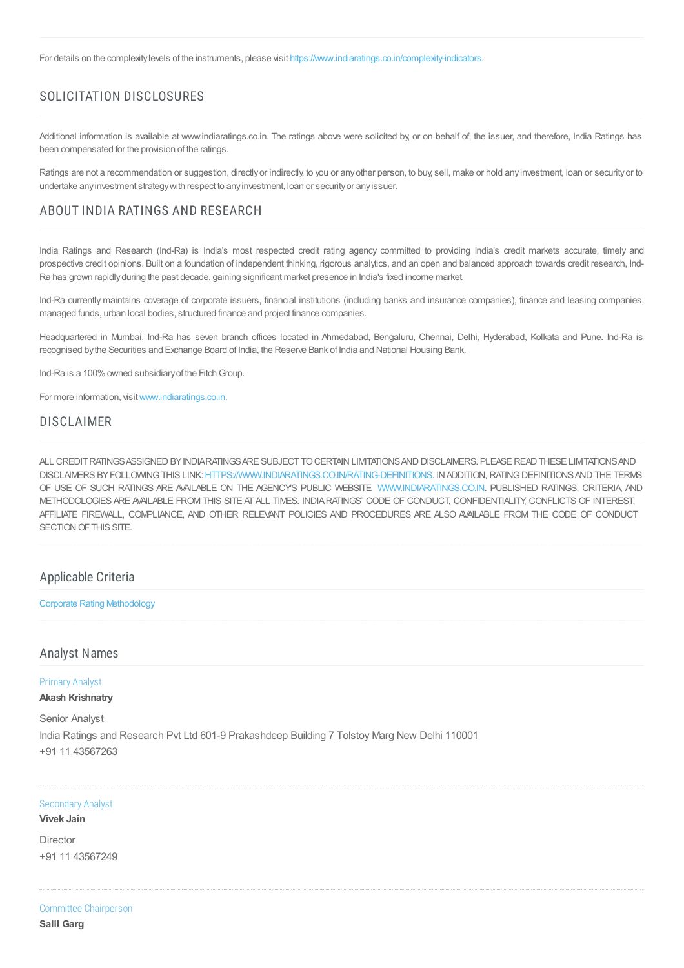For details on the complexity levels of the instruments, please visit <https://www.indiaratings.co.in/complexity-indicators>.

## SOLICITATION DISCLOSURES

Additional information is available at www.indiaratings.co.in. The ratings above were solicited by or on behalf of, the issuer, and therefore, India Ratings has been compensated for the provision of the ratings.

Ratings are not a recommendation or suggestion, directly or indirectly, to you or any other person, to buy, sell, make or hold any investment, loan or security or to undertake anyinvestment strategywith respect to anyinvestment, loan or securityor anyissuer.

#### ABOUT INDIA RATINGS AND RESEARCH

India Ratings and Research (Ind-Ra) is India's most respected credit rating agency committed to providing India's credit markets accurate, timely and prospective credit opinions. Built on a foundation of independent thinking, rigorous analytics, and an open and balanced approach towards credit research, Ind-Ra has grown rapidlyduring the past decade, gaining significant market presence in India's fixed income market.

Ind-Ra currently maintains coverage of corporate issuers, financial institutions (including banks and insurance companies), finance and leasing companies, managed funds, urban local bodies, structured finance and project finance companies.

Headquartered in Mumbai, Ind-Ra has seven branch offices located in Ahmedabad, Bengaluru, Chennai, Delhi, Hyderabad, Kolkata and Pune. Ind-Ra is recognised bythe Securities and Exchange Board of India, the Reserve Bank of India and National Housing Bank.

Ind-Ra is a 100% owned subsidiary of the Fitch Group.

For more information, visit[www.indiaratings.co.in.](http://www.indiaratings.co.in/)

#### DISCLAIMER

ALL CREDITRATINGSASSIGNED BYINDIARATINGSARE SUBJECTTOCERTAIN LIMITATIONSAND DISCLAIMERS. PLEASEREAD THESE LIMITATIONSAND DISCLAIMERS BYFOLLOWINGTHIS LINK:[HTTPS://WWW.INDIARATINGS.CO.IN/RATING-DEFINITIONS.](https://www.indiaratings.co.in/rating-definitions) INADDITION, RATINGDEFINITIONSAND THE TERMS OF USE OF SUCH RATINGS ARE AVAILABLE ON THE AGENCY'S PUBLIC WEBSITE [WWW.INDIARATINGS.CO.IN](http://www.indiaratings.co.in/). PUBLISHED RATINGS, CRITERIA, AND METHODOLOGIES ARE AVAILABLE FROMTHIS SITE ATALL TIMES. INDIARATINGS' CODE OF CONDUCT, CONFIDENTIALITY, CONFLICTS OF INTEREST, AFFILIATE FIREWALL, COMPLIANCE, AND OTHER RELEVANT POLICIES AND PROCEDURES ARE ALSO AVAILABLE FROM THE CODE OF CONDUCT SECTION OF THIS SITE.

#### Applicable Criteria

Corporate Rating [Methodology](https://indiaratings.co.in//Uploads/CriteriaReport/CorporateRatingMethodology.pdf)

#### Analyst Names

## Primary Analyst

**Akash Krishnatry**

Senior Analyst India Ratings and Research Pvt Ltd 601-9 Prakashdeep Building 7 Tolstoy Marg New Delhi 110001 +91 11 43567263

#### Secondary Analyst

**Vivek Jain**

Director +91 11 43567249

Committee Chairperson **Salil Garg**